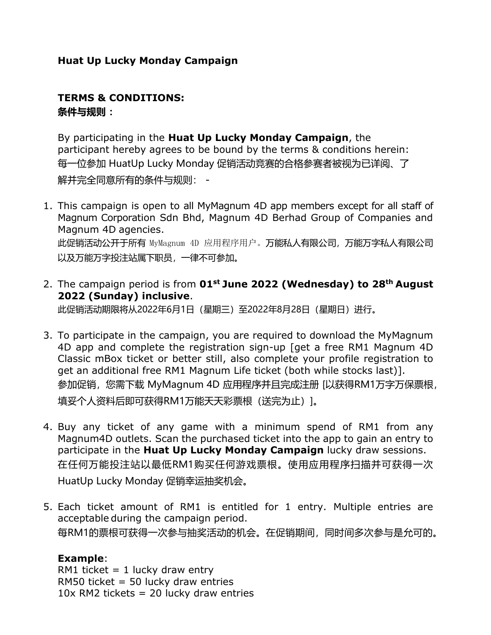# **Huat Up Lucky Monday Campaign**

# **TERMS & CONDITIONS: 条件与规则 :**

By participating in the **Huat Up Lucky Monday Campaign**, the participant hereby agrees to be bound by the terms & conditions herein: 每一位参加 HuatUp Lucky Monday 促销活动竞赛的合格参赛者被视为已详阅、了 解并完全同意所有的条件与规则: -

- 1. This campaign is open to all MyMagnum 4D app members except for all staff of Magnum Corporation Sdn Bhd, Magnum 4D Berhad Group of Companies and Magnum 4D agencies. 此促销活动公开于所有 MyMagnum 4D 应用程序用户。万能私人有限公司,万能万字私人有限公司 以及万能万字投注站属下职员,一律不可参加。
- 2. The campaign period is from **01st June 2022 (Wednesday) to 28th August 2022 (Sunday) inclusive**.

此促销活动期限将从2022年6月1日(星期三)至2022年8月28日(星期日)进行。

- 3. To participate in the campaign, you are required to download the MyMagnum 4D app and complete the registration sign-up [get a free RM1 Magnum 4D Classic mBox ticket or better still, also complete your profile registration to get an additional free RM1 Magnum Life ticket (both while stocks last)]. 参加促销,您需下载 MyMagnum 4D 应用程序并且完成注册 [以获得RM1万字万保票根, 填妥个人资料后即可获得RM1万能天天彩票根(送完为止)1。
- 4. Buy any ticket of any game with a minimum spend of RM1 from any Magnum4D outlets. Scan the purchased ticket into the app to gain an entry to participate in the **Huat Up Lucky Monday Campaign** lucky draw sessions. 在任何万能投注站以最低RM1购买任何游戏票根。使用应用程序扫描并可获得一次 HuatUp Lucky Monday 促销幸运抽奖机会。
- 5. Each ticket amount of RM1 is entitled for 1 entry. Multiple entries are acceptable during the campaign period. 每RM1的票根可获得一次参与抽奖活动的机会。在促销期间,同时间多次参与是允可的。

# **Example**:

RM1 ticket  $= 1$  lucky draw entry RM50 ticket =  $50$  lucky draw entries  $10x$  RM2 tickets = 20 lucky draw entries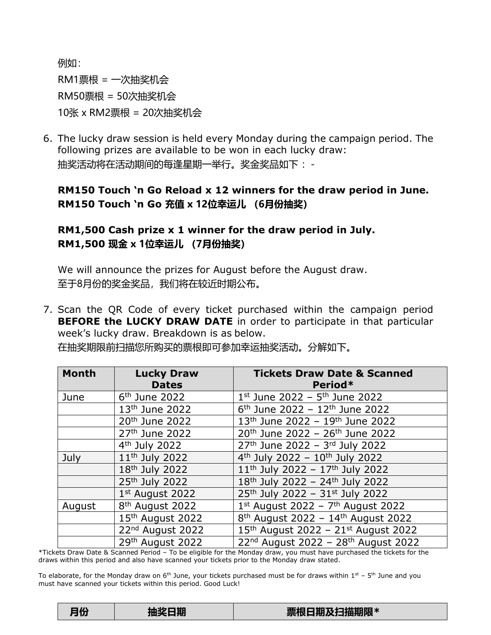例如: RM1票根 = 一次抽奖机会 RM50票根 = 50次抽奖机会 10张 x RM2票根 = 20次抽奖机会

6. The lucky draw session is held every Monday during the campaign period. The following prizes are available to be won in each lucky draw: 抽奖活动将在活动期间的每逢星期一举行。奖金奖品如下: -

# **RM150 Touch 'n Go Reload x 12 winners for the draw period in June. RM150 Touch 'n Go 充值 x 12位幸运儿 (6月份抽奖)**

# **RM1,500 Cash prize x 1 winner for the draw period in July. RM1,500 现金 x 1位幸运儿 (7月份抽奖)**

We will announce the prizes for August before the August draw. 至于8月份的奖金奖品,我们将在较近时期公布。

7. Scan the QR Code of every ticket purchased within the campaign period **BEFORE the LUCKY DRAW DATE** in order to participate in that particular week's lucky draw. Breakdown is as below.

| <b>Month</b> | <b>Lucky Draw</b><br><b>Dates</b> | <b>Tickets Draw Date &amp; Scanned</b><br>Period*           |
|--------------|-----------------------------------|-------------------------------------------------------------|
| June         | $6th$ June 2022                   | $1^{st}$ June 2022 - $5^{th}$ June 2022                     |
|              | 13 <sup>th</sup> June 2022        | $6th$ June 2022 - 12 <sup>th</sup> June 2022                |
|              | 20 <sup>th</sup> June 2022        | $13th$ June 2022 - 19 <sup>th</sup> June 2022               |
|              | 27th June 2022                    | 20 <sup>th</sup> June 2022 - 26 <sup>th</sup> June 2022     |
|              | $4th$ July 2022                   | $27th$ June 2022 - 3rd July 2022                            |
| July         | 11 <sup>th</sup> July 2022        | $4th$ July 2022 - 10 <sup>th</sup> July 2022                |
|              | 18 <sup>th</sup> July 2022        | $11th$ July 2022 - $17th$ July 2022                         |
|              | 25th July 2022                    | $\overline{18^{th}}$ July 2022 - 24 <sup>th</sup> July 2022 |
|              | 1st August 2022                   | 25th July 2022 - 31st July 2022                             |
| August       | 8 <sup>th</sup> August 2022       | $1st$ August 2022 - 7 <sup>th</sup> August 2022             |
|              | 15th August 2022                  | $8th$ August 2022 - 14 <sup>th</sup> August 2022            |
|              | 22nd August 2022                  | 15th August 2022 - 21st August 2022                         |
|              | 29th August 2022                  | 22nd August 2022 - 28th August 2022                         |

在抽奖期限前扫描您所购买的票根即可参加幸运抽奖活动。分解如下。

\*Tickets Draw Date & Scanned Period – To be eligible for the Monday draw, you must have purchased the tickets for the draws within this period and also have scanned your tickets prior to the Monday draw stated.

To elaborate, for the Monday draw on 6<sup>th</sup> June, your tickets purchased must be for draws within 1st – 5<sup>th</sup> June and you must have scanned your tickets within this period. Good Luck!

| 票根日期及扫描期限*<br>抽奖日期<br>月份 |  |
|--------------------------|--|
|--------------------------|--|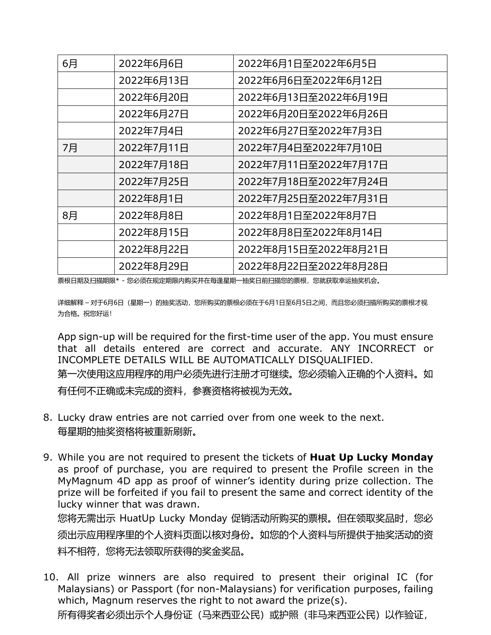| 6月 | 2022年6月6日  | 2022年6月1日至2022年6月5日   |
|----|------------|-----------------------|
|    | 2022年6月13日 | 2022年6月6日至2022年6月12日  |
|    | 2022年6月20日 | 2022年6月13日至2022年6月19日 |
|    | 2022年6月27日 | 2022年6月20日至2022年6月26日 |
|    | 2022年7月4日  | 2022年6月27日至2022年7月3日  |
| 7月 | 2022年7月11日 | 2022年7月4日至2022年7月10日  |
|    | 2022年7月18日 | 2022年7月11日至2022年7月17日 |
|    | 2022年7月25日 | 2022年7月18日至2022年7月24日 |
|    | 2022年8月1日  | 2022年7月25日至2022年7月31日 |
| 8月 | 2022年8月8日  | 2022年8月1日至2022年8月7日   |
|    | 2022年8月15日 | 2022年8月8日至2022年8月14日  |
|    | 2022年8月22日 | 2022年8月15日至2022年8月21日 |
|    | 2022年8月29日 | 2022年8月22日至2022年8月28日 |

票根日期及扫描期限\* - 您必须在规定期限内购买并在每逢星期一抽奖日前扫描您的票根,您就获取幸运抽奖机会。

详细解释 – 对于6月6日(星期一)的抽奖活动,您所购买的票根必须在于6月1日至6月5日之间,而且您必须扫描所购买的票根才视 为合格。祝您好运!

App sign-up will be required for the first-time user of the app. You must ensure that all details entered are correct and accurate. ANY INCORRECT or INCOMPLETE DETAILS WILL BE AUTOMATICALLY DISQUALIFIED.

第一次使用这应用程序的用户必须先进行注册才可继续。您必须输入正确的个人资料。如 有任何不正确或未完成的资料,参赛资格将被视为无效。

- 8. Lucky draw entries are not carried over from one week to the next. 每星期的抽奖资格将被重新刷新。
- 9. While you are not required to present the tickets of **Huat Up Lucky Monday** as proof of purchase, you are required to present the Profile screen in the MyMagnum 4D app as proof of winner's identity during prize collection. The prize will be forfeited if you fail to present the same and correct identity of the lucky winner that was drawn.

您将无需出示 HuatUp Lucky Monday 促销活动所购买的票根。但在领取奖品时,您必 须出示应用程序里的个人资料页面以核对身份。如您的个人资料与所提供于抽奖活动的资 料不相符,您将无法领取所获得的奖金奖品。

10. All prize winners are also required to present their original IC (for Malaysians) or Passport (for non-Malaysians) for verification purposes, failing which, Magnum reserves the right to not award the prize(s).

所有得奖者必须出示个人身份证(马来西亚公民)或护照(非马来西亚公民)以作验证,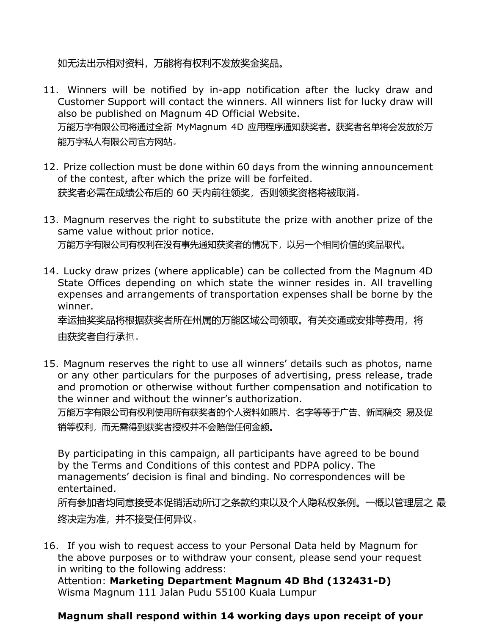如无法出示相对资料,万能将有权利不发放奖金奖品。

- 11. Winners will be notified by in-app notification after the lucky draw and Customer Support will contact the winners. All winners list for lucky draw will also be published on Magnum 4D Official Website. 万能万字有限公司将通过全新 MyMagnum 4D 应用程序通知获奖者。获奖者名单将会发放於万 能万字私人有限公司官方网站。
- 12. Prize collection must be done within 60 days from the winning announcement of the contest, after which the prize will be forfeited. 获奖者必需在成绩公布后的 60 天内前往领奖,否则领奖资格将被取消。
- 13. Magnum reserves the right to substitute the prize with another prize of the same value without prior notice. 万能万字有限公司有权利在没有事先通知获奖者的情况下,以另一个相同价值的奖品取代。
- 14. Lucky draw prizes (where applicable) can be collected from the Magnum 4D State Offices depending on which state the winner resides in. All travelling expenses and arrangements of transportation expenses shall be borne by the winner.

幸运抽奖奖品将根据获奖者所在州属的万能区域公司领取。有关交通或安排等费用,将 由获奖者自行承担。

15. Magnum reserves the right to use all winners' details such as photos, name or any other particulars for the purposes of advertising, press release, trade and promotion or otherwise without further compensation and notification to the winner and without the winner's authorization.

万能万字有限公司有权利使用所有获奖者的个人资料如照片、名字等等于广告、新闻稿交 易及促 销等权利,而无需得到获奖者授权并不会赔偿任何金额。

By participating in this campaign, all participants have agreed to be bound by the Terms and Conditions of this contest and PDPA policy. The managements' decision is final and binding. No correspondences will be entertained.

所有参加者均同意接受本促销活动所订之条款约束以及个人隐私权条例。一概以管理层之 最 终决定为准,并不接受任何异议。

16. If you wish to request access to your Personal Data held by Magnum for the above purposes or to withdraw your consent, please send your request in writing to the following address:

Attention: **Marketing Department Magnum 4D Bhd (132431-D)** Wisma Magnum 111 Jalan Pudu 55100 Kuala Lumpur

## **Magnum shall respond within 14 working days upon receipt of your**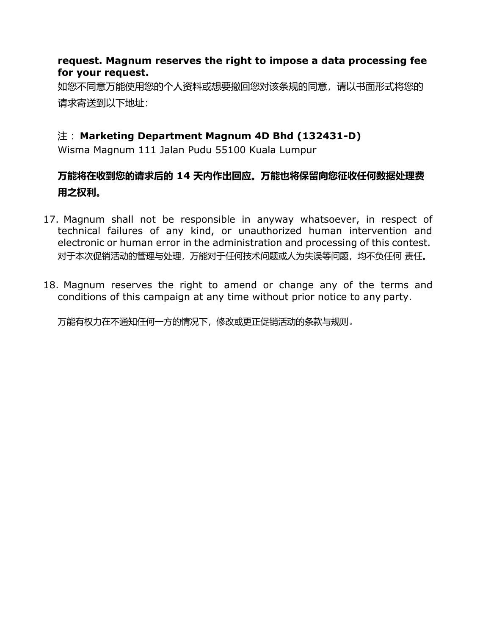## **request. Magnum reserves the right to impose a data processing fee for your request.**

如您不同意万能使用您的个人资料或想要撤回您对该条规的同意,请以书面形式将您的 请求寄送到以下地址:

## 注 :**Marketing Department Magnum 4D Bhd (132431-D)**

Wisma Magnum 111 Jalan Pudu 55100 Kuala Lumpur

# **万能将在收到您的请求后的 14 天内作出回应。万能也将保留向您征收任何数据处理费 用之权利。**

- 17. Magnum shall not be responsible in anyway whatsoever, in respect of technical failures of any kind, or unauthorized human intervention and electronic or human error in the administration and processing of this contest. 对于本次促销活动的管理与处理,万能对于任何技术问题或人为失误等问题,均不负任何 责任。
- 18. Magnum reserves the right to amend or change any of the terms and conditions of this campaign at any time without prior notice to any party.

万能有权力在不通知任何一方的情况下,修改或更正促销活动的条款与规则。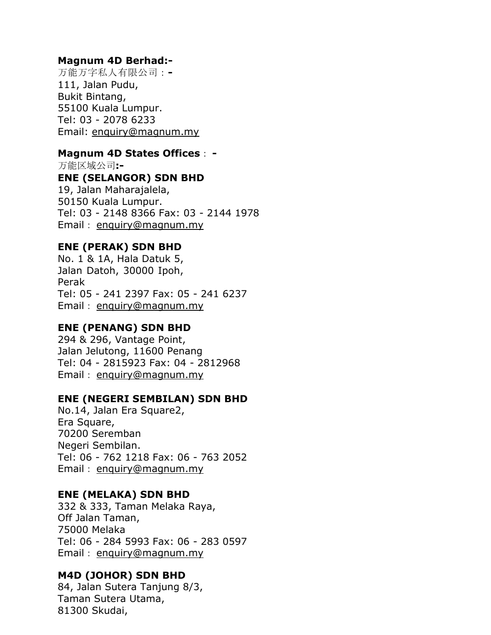## **Magnum 4D Berhad:-**

万能万字私人有限公司:**-** 111, Jalan Pudu, Bukit Bintang, 55100 Kuala Lumpur. Tel: 03 - 2078 6233 Email: [enquiry@magnum.my](mailto:enquiry@magnum.my)

#### **Magnum 4D States Offices**: **-**

万能区域公司**:-**

#### **ENE (SELANGOR) SDN BHD**

19, Jalan Maharajalela, 50150 Kuala Lumpur. Tel: 03 - 2148 8366 Fax: 03 - 2144 1978 Email: [enquiry@magnum.my](mailto:enquiry@magnum.my)

#### **ENE (PERAK) SDN BHD**

No. 1 & 1A, Hala Datuk 5, Jalan Datoh, 30000 Ipoh, Perak Tel: 05 - 241 2397 Fax: 05 - 241 6237 Email: [enquiry@magnum.my](mailto:enquiry@magnum.my)

## **ENE (PENANG) SDN BHD**

294 & 296, Vantage Point, Jalan Jelutong, 11600 Penang Tel: 04 - 2815923 Fax: 04 - 2812968 Email: [enquiry@magnum.my](mailto:enquiry@magnum.my)

#### **ENE (NEGERI SEMBILAN) SDN BHD**

No.14, Jalan Era Square2, Era Square, 70200 Seremban Negeri Sembilan. Tel: 06 - 762 1218 Fax: 06 - 763 2052 Email: [enquiry@magnum.my](mailto:enquiry@magnum.my)

#### **ENE (MELAKA) SDN BHD**

332 & 333, Taman Melaka Raya, Off Jalan Taman, 75000 Melaka Tel: 06 - 284 5993 Fax: 06 - 283 0597 Email: [enquiry@magnum.my](mailto:enquiry@magnum.my)

## **M4D (JOHOR) SDN BHD**

84, Jalan Sutera Tanjung 8/3, Taman Sutera Utama, 81300 Skudai,